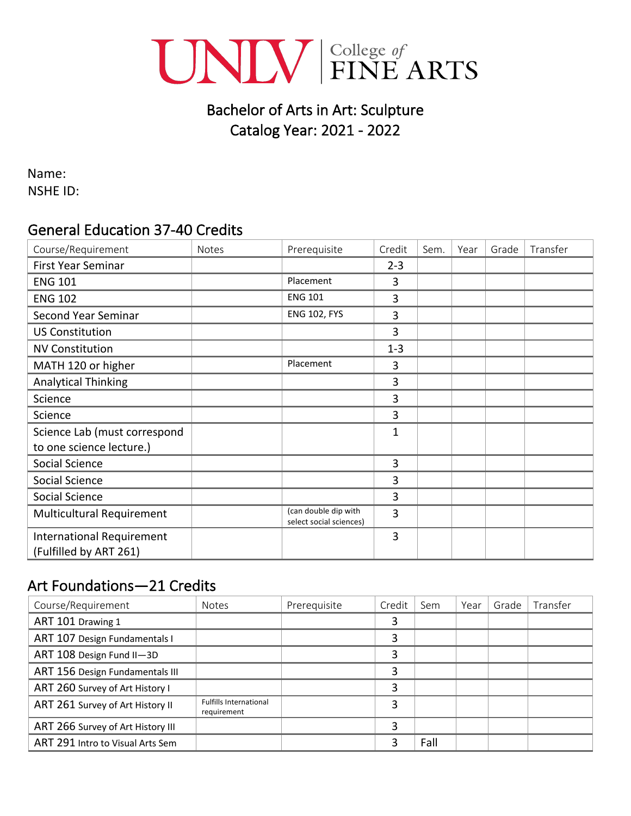

# Bachelor of Arts in Art: Sculpture Catalog Year: 2021 - 2022

Name: NSHE ID:

### General Education 37-40 Credits

| Course/Requirement                                         | <b>Notes</b> | Prerequisite                                    | Credit         | Sem. | Year | Grade | Transfer |
|------------------------------------------------------------|--------------|-------------------------------------------------|----------------|------|------|-------|----------|
| <b>First Year Seminar</b>                                  |              |                                                 | $2 - 3$        |      |      |       |          |
| <b>ENG 101</b>                                             |              | Placement                                       | 3              |      |      |       |          |
| <b>ENG 102</b>                                             |              | <b>ENG 101</b>                                  | 3              |      |      |       |          |
| Second Year Seminar                                        |              | <b>ENG 102, FYS</b>                             | 3              |      |      |       |          |
| <b>US Constitution</b>                                     |              |                                                 | 3              |      |      |       |          |
| <b>NV Constitution</b>                                     |              |                                                 | $1 - 3$        |      |      |       |          |
| MATH 120 or higher                                         |              | Placement                                       | 3              |      |      |       |          |
| <b>Analytical Thinking</b>                                 |              |                                                 | 3              |      |      |       |          |
| Science                                                    |              |                                                 | 3              |      |      |       |          |
| Science                                                    |              |                                                 | 3              |      |      |       |          |
| Science Lab (must correspond                               |              |                                                 | $\overline{1}$ |      |      |       |          |
| to one science lecture.)                                   |              |                                                 |                |      |      |       |          |
| Social Science                                             |              |                                                 | 3              |      |      |       |          |
| Social Science                                             |              |                                                 | 3              |      |      |       |          |
| Social Science                                             |              |                                                 | 3              |      |      |       |          |
| Multicultural Requirement                                  |              | (can double dip with<br>select social sciences) | 3              |      |      |       |          |
| <b>International Requirement</b><br>(Fulfilled by ART 261) |              |                                                 | 3              |      |      |       |          |

# Art Foundations—21 Credits

| Course/Requirement                | <b>Notes</b>                                 | Prerequisite | Credit | Sem  | Year | Grade | Transfer |
|-----------------------------------|----------------------------------------------|--------------|--------|------|------|-------|----------|
| ART 101 Drawing 1                 |                                              |              |        |      |      |       |          |
| ART 107 Design Fundamentals I     |                                              |              | 3      |      |      |       |          |
| ART 108 Design Fund II-3D         |                                              |              | 3      |      |      |       |          |
| ART 156 Design Fundamentals III   |                                              |              | 3      |      |      |       |          |
| ART 260 Survey of Art History I   |                                              |              | 3      |      |      |       |          |
| ART 261 Survey of Art History II  | <b>Fulfills International</b><br>requirement |              | 3      |      |      |       |          |
| ART 266 Survey of Art History III |                                              |              | 3      |      |      |       |          |
| ART 291 Intro to Visual Arts Sem  |                                              |              | 3      | Fall |      |       |          |